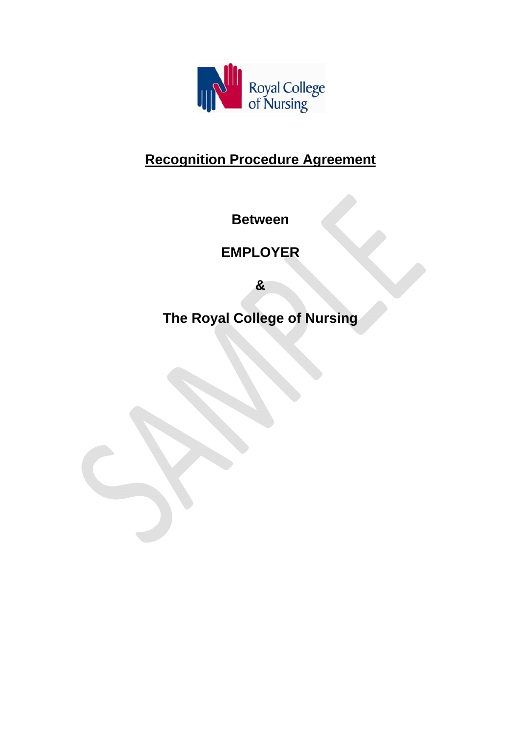

# **Recognition Procedure Agreement**

**Between** 

**EMPLOYER** 

**&** 

**The Royal College of Nursing**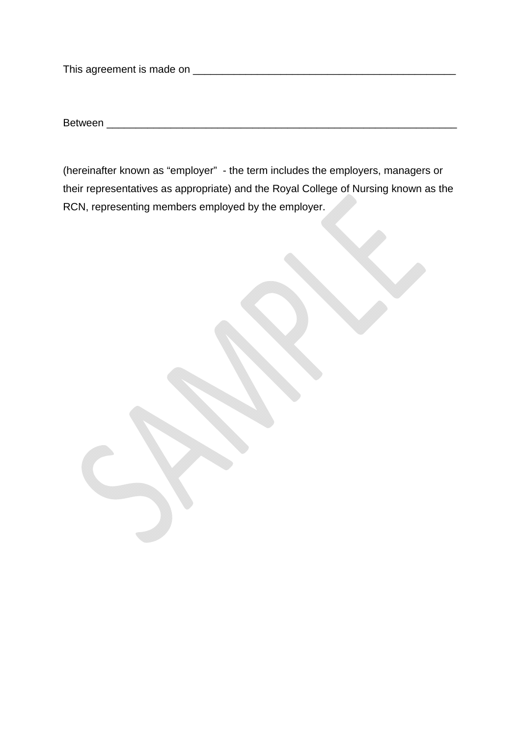This agreement is made on \_\_\_\_\_\_\_\_\_\_\_\_\_\_\_\_\_\_\_\_\_\_\_\_\_\_\_\_\_\_\_\_\_\_\_\_\_\_\_\_\_\_\_\_\_

Between \_\_\_\_\_\_\_\_\_\_\_\_\_\_\_\_\_\_\_\_\_\_\_\_\_\_\_\_\_\_\_\_\_\_\_\_\_\_\_\_\_\_\_\_\_\_\_\_\_\_\_\_\_\_\_\_\_\_\_\_

(hereinafter known as "employer" - the term includes the employers, managers or their representatives as appropriate) and the Royal College of Nursing known as the RCN, representing members employed by the employer.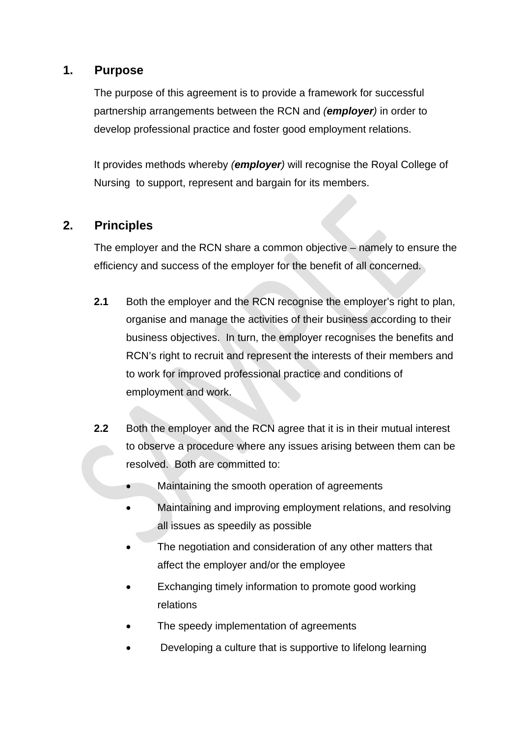#### **1. Purpose**

The purpose of this agreement is to provide a framework for successful partnership arrangements between the RCN and *(employer)* in order to develop professional practice and foster good employment relations.

It provides methods whereby *(employer)* will recognise the Royal College of Nursing to support, represent and bargain for its members.

### **2. Principles**

The employer and the RCN share a common objective – namely to ensure the efficiency and success of the employer for the benefit of all concerned.

- **2.1** Both the employer and the RCN recognise the employer's right to plan, organise and manage the activities of their business according to their business objectives. In turn, the employer recognises the benefits and RCN's right to recruit and represent the interests of their members and to work for improved professional practice and conditions of employment and work.
- **2.2** Both the employer and the RCN agree that it is in their mutual interest to observe a procedure where any issues arising between them can be resolved. Both are committed to:
	- Maintaining the smooth operation of agreements
	- Maintaining and improving employment relations, and resolving all issues as speedily as possible
	- The negotiation and consideration of any other matters that affect the employer and/or the employee
	- Exchanging timely information to promote good working relations
	- The speedy implementation of agreements
	- Developing a culture that is supportive to lifelong learning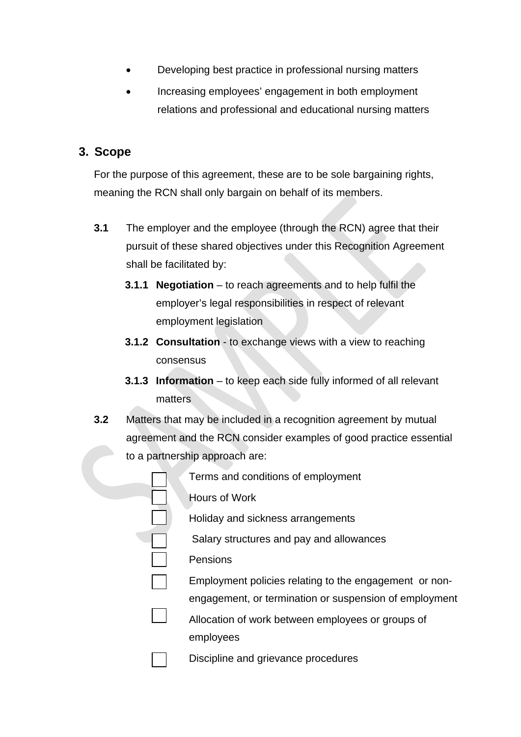- Developing best practice in professional nursing matters
- Increasing employees' engagement in both employment relations and professional and educational nursing matters

#### **3. Scope**

For the purpose of this agreement, these are to be sole bargaining rights, meaning the RCN shall only bargain on behalf of its members.

- **3.1** The employer and the employee (through the RCN) agree that their pursuit of these shared objectives under this Recognition Agreement shall be facilitated by:
	- **3.1.1 Negotiation** to reach agreements and to help fulfil the employer's legal responsibilities in respect of relevant employment legislation
	- **3.1.2 Consultation** to exchange views with a view to reaching consensus
	- **3.1.3 Information** to keep each side fully informed of all relevant matters
- **3.2** Matters that may be included in a recognition agreement by mutual agreement and the RCN consider examples of good practice essential to a partnership approach are:

| Terms and conditions of employment                     |
|--------------------------------------------------------|
| <b>Hours of Work</b>                                   |
| Holiday and sickness arrangements                      |
| Salary structures and pay and allowances               |
| Pensions                                               |
| Employment policies relating to the engagement or non- |
| engagement, or termination or suspension of employment |
| Allocation of work between employees or groups of      |
| employees                                              |
| Discipline and grievance procedures                    |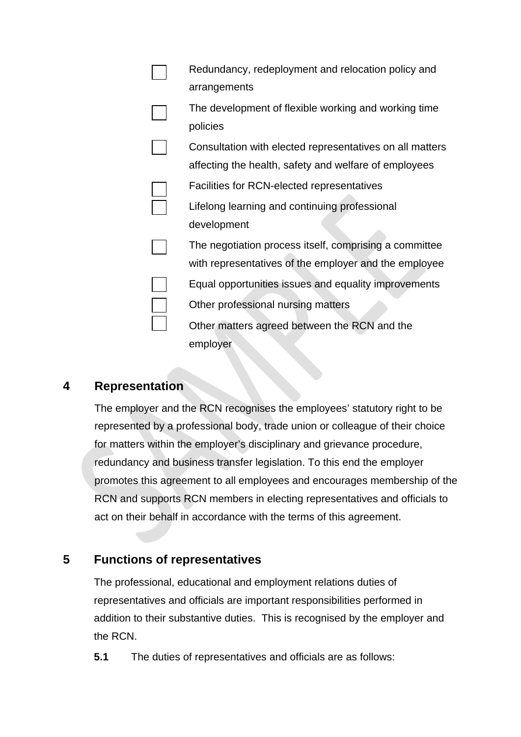|  | Redundancy, redeployment and relocation policy and       |
|--|----------------------------------------------------------|
|  | arrangements                                             |
|  | The development of flexible working and working time     |
|  | policies                                                 |
|  | Consultation with elected representatives on all matters |
|  | affecting the health, safety and welfare of employees    |
|  | Facilities for RCN-elected representatives               |
|  | Lifelong learning and continuing professional            |
|  | development                                              |
|  | The negotiation process itself, comprising a committee   |
|  | with representatives of the employer and the employee    |
|  | Equal opportunities issues and equality improvements     |
|  | Other professional nursing matters                       |
|  | Other matters agreed between the RCN and the             |
|  | employer                                                 |

#### **4 Representation**

The employer and the RCN recognises the employees' statutory right to be represented by a professional body, trade union or colleague of their choice for matters within the employer's disciplinary and grievance procedure, redundancy and business transfer legislation. To this end the employer promotes this agreement to all employees and encourages membership of the RCN and supports RCN members in electing representatives and officials to act on their behalf in accordance with the terms of this agreement.

#### **5 Functions of representatives**

The professional, educational and employment relations duties of representatives and officials are important responsibilities performed in addition to their substantive duties. This is recognised by the employer and the RCN.

**5.1** The duties of representatives and officials are as follows: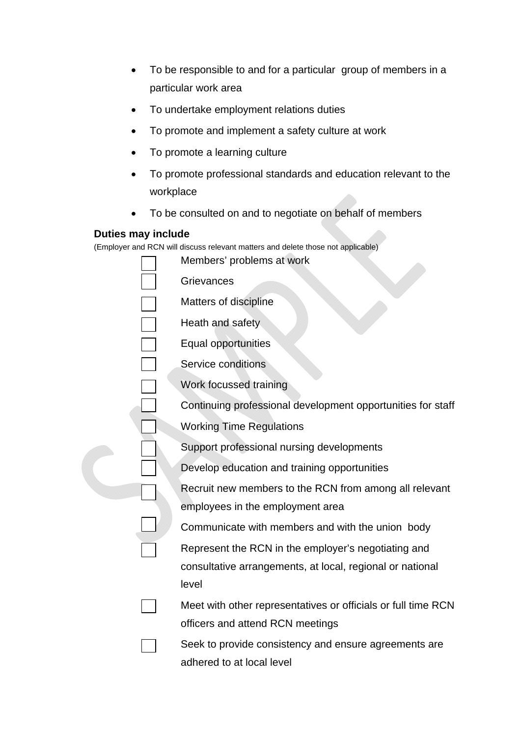- To be responsible to and for a particular group of members in a particular work area
- To undertake employment relations duties
- To promote and implement a safety culture at work
- To promote a learning culture
- To promote professional standards and education relevant to the workplace
- To be consulted on and to negotiate on behalf of members

#### **Duties may include**

(Employer and RCN will discuss relevant matters and delete those not applicable)

|  | Members' problems at work                                     |
|--|---------------------------------------------------------------|
|  | Grievances                                                    |
|  | Matters of discipline                                         |
|  | Heath and safety                                              |
|  | Equal opportunities                                           |
|  | Service conditions                                            |
|  | Work focussed training                                        |
|  | Continuing professional development opportunities for staff   |
|  | <b>Working Time Regulations</b>                               |
|  | Support professional nursing developments                     |
|  | Develop education and training opportunities                  |
|  | Recruit new members to the RCN from among all relevant        |
|  | employees in the employment area                              |
|  | Communicate with members and with the union body              |
|  | Represent the RCN in the employer's negotiating and           |
|  | consultative arrangements, at local, regional or national     |
|  | level                                                         |
|  | Meet with other representatives or officials or full time RCN |
|  | officers and attend RCN meetings                              |
|  | Seek to provide consistency and ensure agreements are         |
|  | adhered to at local level                                     |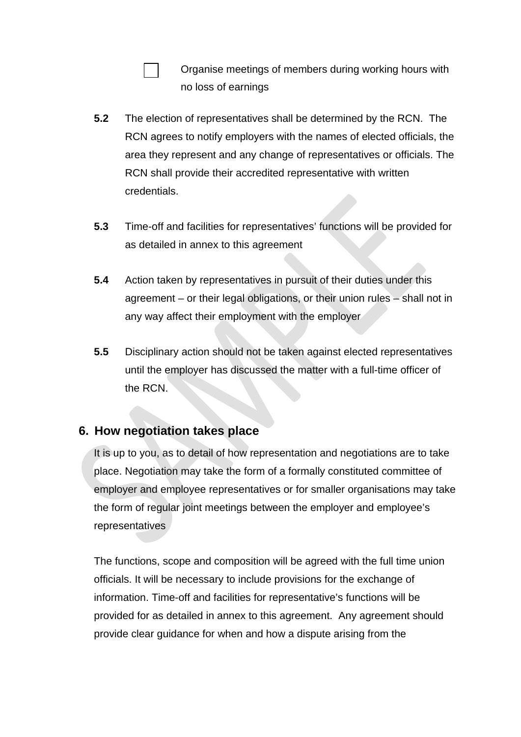Organise meetings of members during working hours with no loss of earnings

- **5.2** The election of representatives shall be determined by the RCN. The RCN agrees to notify employers with the names of elected officials, the area they represent and any change of representatives or officials. The RCN shall provide their accredited representative with written credentials.
- **5.3** Time-off and facilities for representatives' functions will be provided for as detailed in annex to this agreement
- **5.4** Action taken by representatives in pursuit of their duties under this agreement – or their legal obligations, or their union rules – shall not in any way affect their employment with the employer
- **5.5** Disciplinary action should not be taken against elected representatives until the employer has discussed the matter with a full-time officer of the RCN.

## **6. How negotiation takes place**

It is up to you, as to detail of how representation and negotiations are to take place. Negotiation may take the form of a formally constituted committee of employer and employee representatives or for smaller organisations may take the form of regular joint meetings between the employer and employee's representatives

The functions, scope and composition will be agreed with the full time union officials. It will be necessary to include provisions for the exchange of information. Time-off and facilities for representative's functions will be provided for as detailed in annex to this agreement. Any agreement should provide clear guidance for when and how a dispute arising from the